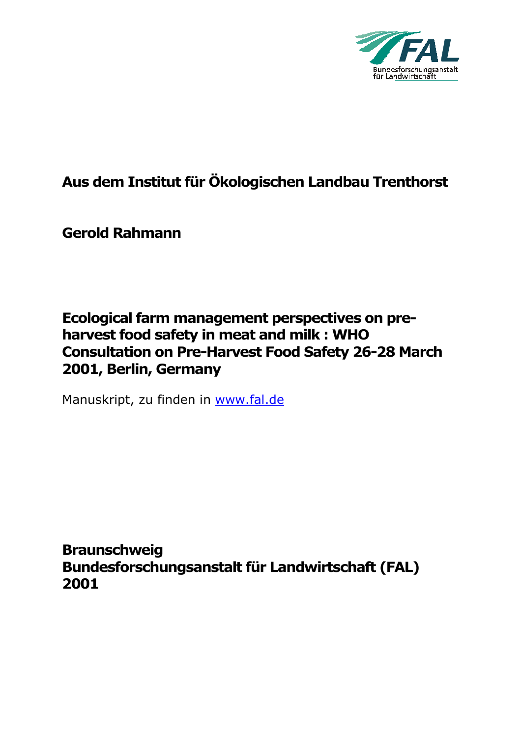

# **Aus dem Institut für Ökologischen Landbau Trenthorst**

**Gerold Rahmann** 

# **Ecological farm management perspectives on preharvest food safety in meat and milk : WHO Consultation on Pre-Harvest Food Safety 26-28 March 2001, Berlin, Germany**

Manuskript, zu finden in www.fal.de

**Braunschweig Bundesforschungsanstalt für Landwirtschaft (FAL) 2001**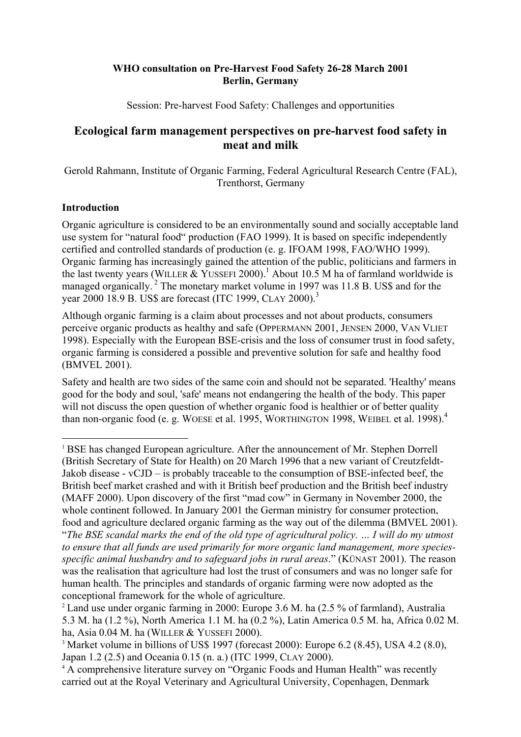## <span id="page-1-3"></span>**WHO consultation on Pre-Harvest Food Safety 26-28 March 2001 Berlin, Germany**

Session: Pre-harvest Food Safety: Challenges and opportunities

# **Ecological farm management perspectives on pre-harvest food safety in meat and milk**

Gerold Rahmann, Institute of Organic Farming, Federal Agricultural Research Centre (FAL), Trenthorst, Germany

## **Introduction**

-

Organic agriculture is considered to be an environmentally sound and socially acceptable land use system for "natural food" production (FAO 1999). It is based on specific independently certified and controlled standards of production (e. g. IFOAM 1998, FAO/WHO 1999). Organic farming has increasingly gained the attention of the public, politicians and farmers in the last twenty years (WILLER & YUSSEFI 2000).<sup>[1](#page-1-0)</sup> About 10.5 M ha of farmland worldwide is managed organically.<sup>2</sup> The monetary market volume in 1997 was 11.8 B. US\$ and for the year 2000 18.9 B. US\$ are forecast (ITC 1999, CLAY 2000).<sup>[3](#page-1-2)</sup>

Although organic farming is a claim about processes and not about products, consumers perceive organic products as healthy and safe (OPPERMANN 2001, JENSEN 2000, VAN VLIET 1998). Especially with the European BSE-crisis and the loss of consumer trust in food safety, organic farming is considered a possible and preventive solution for safe and healthy food (BMVEL 2001).

Safety and health are two sides of the same coin and should not be separated. 'Healthy' means good for the body and soul, 'safe' means not endangering the health of the body. This paper will not discuss the open question of whether organic food is healthier or of better quality than non-organic food (e. g. WOESE et al. 1995, WORTHINGTON 1998, WEIBEL et al. 1998).<sup>[4](#page-1-3)</sup>

<span id="page-1-0"></span><sup>1</sup> BSE has changed European agriculture. After the announcement of Mr. Stephen Dorrell (British Secretary of State for Health) on 20 March 1996 that a new variant of Creutzfeldt-Jakob disease - vCJD – is probably traceable to the consumption of BSE-infected beef, the British beef market crashed and with it British beef production and the British beef industry (MAFF 2000). Upon discovery of the first "mad cow" in Germany in November 2000, the whole continent followed. In January 2001 the German ministry for consumer protection, food and agriculture declared organic farming as the way out of the dilemma (BMVEL 2001). "*The BSE scandal marks the end of the old type of agricultural policy. … I will do my utmost to ensure that all funds are used primarily for more organic land management, more speciesspecific animal husbandry and to safeguard jobs in rural areas*." (KÜNAST 2001). The reason was the realisation that agriculture had lost the trust of consumers and was no longer safe for human health. The principles and standards of organic farming were now adopted as the conceptional framework for the whole of agriculture.

<span id="page-1-1"></span><sup>2</sup> Land use under organic farming in 2000: Europe 3.6 M. ha (2.5 % of farmland), Australia 5.3 M. ha (1.2 %), North America 1.1 M. ha (0.2 %), Latin America 0.5 M. ha, Africa 0.02 M. ha, Asia 0.04 M. ha (WILLER & YUSSEFI 2000).

carried out at the Royal Veterinary and Agricultural University, Copenhagen, Denmark

<span id="page-1-2"></span><sup>3</sup> Market volume in billions of US\$ 1997 (forecast 2000): Europe 6.2 (8.45), USA 4.2 (8.0), Japan 1.2 (2.5) and Oceania 0.15 (n. a.) (ITC 1999, CLAY 2000).<br><sup>4</sup> A comprehensive literature survey on "Organic Foods and Human Health" was recently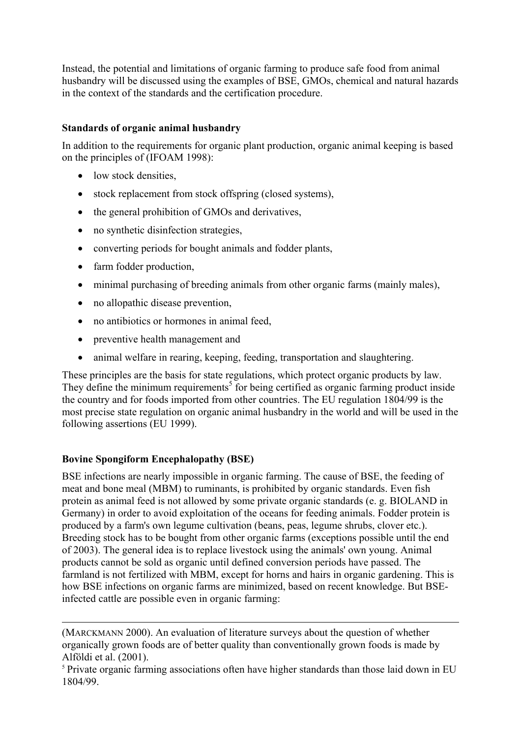Instead, the potential and limitations of organic farming to produce safe food from animal husbandry will be discussed using the examples of BSE, GMOs, chemical and natural hazards in the context of the standards and the certification procedure.

# **Standards of organic animal husbandry**

In addition to the requirements for organic plant production, organic animal keeping is based on the principles of (IFOAM 1998):

- low stock densities,
- stock replacement from stock offspring (closed systems),
- the general prohibition of GMOs and derivatives,
- no synthetic disinfection strategies.
- converting periods for bought animals and fodder plants,
- farm fodder production,
- minimal purchasing of breeding animals from other organic farms (mainly males),
- no allopathic disease prevention,
- no antibiotics or hormones in animal feed.
- preventive health management and
- animal welfare in rearing, keeping, feeding, transportation and slaughtering.

These principles are the basis for state regulations, which protect organic products by law. They define the minimum requirements<sup>[5](#page-2-0)</sup> for being certified as organic farming product inside the country and for foods imported from other countries. The EU regulation 1804/99 is the most precise state regulation on organic animal husbandry in the world and will be used in the following assertions (EU 1999).

## **Bovine Spongiform Encephalopathy (BSE)**

-

BSE infections are nearly impossible in organic farming. The cause of BSE, the feeding of meat and bone meal (MBM) to ruminants, is prohibited by organic standards. Even fish protein as animal feed is not allowed by some private organic standards (e. g. BIOLAND in Germany) in order to avoid exploitation of the oceans for feeding animals. Fodder protein is produced by a farm's own legume cultivation (beans, peas, legume shrubs, clover etc.). Breeding stock has to be bought from other organic farms (exceptions possible until the end of 2003). The general idea is to replace livestock using the animals' own young. Animal products cannot be sold as organic until defined conversion periods have passed. The farmland is not fertilized with MBM, except for horns and hairs in organic gardening. This is how BSE infections on organic farms are minimized, based on recent knowledge. But BSEinfected cattle are possible even in organic farming:

<sup>(</sup>MARCKMANN 2000). An evaluation of literature surveys about the question of whether organically grown foods are of better quality than conventionally grown foods is made by Alföldi et al. (2001).

<span id="page-2-0"></span><sup>&</sup>lt;sup>5</sup> Private organic farming associations often have higher standards than those laid down in EU 1804/99.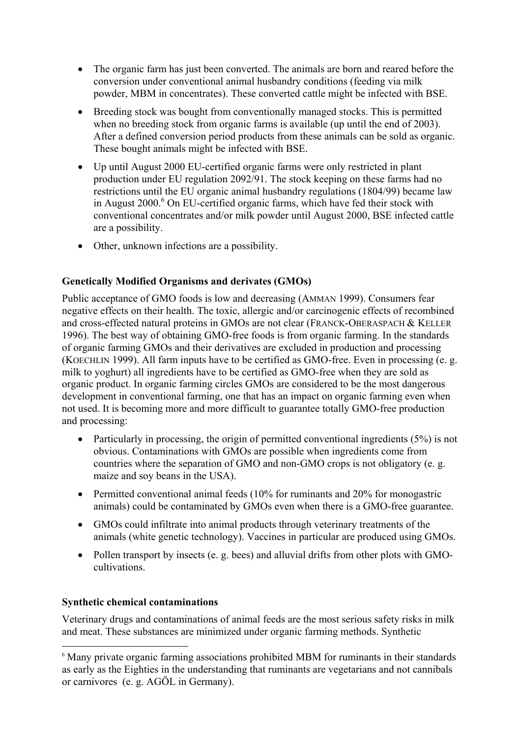- The organic farm has just been converted. The animals are born and reared before the conversion under conventional animal husbandry conditions (feeding via milk powder, MBM in concentrates). These converted cattle might be infected with BSE.
- Breeding stock was bought from conventionally managed stocks. This is permitted when no breeding stock from organic farms is available (up until the end of 2003). After a defined conversion period products from these animals can be sold as organic. These bought animals might be infected with BSE.
- Up until August 2000 EU-certified organic farms were only restricted in plant production under EU regulation 2092/91. The stock keeping on these farms had no restrictions until the EU organic animal husbandry regulations (1804/99) became law in August 2000.<sup>[6](#page-3-0)</sup> On EU-certified organic farms, which have fed their stock with conventional concentrates and/or milk powder until August 2000, BSE infected cattle are a possibility.
- Other, unknown infections are a possibility.

# **Genetically Modified Organisms and derivates (GMOs)**

Public acceptance of GMO foods is low and decreasing (AMMAN 1999). Consumers fear negative effects on their health. The toxic, allergic and/or carcinogenic effects of recombined and cross-effected natural proteins in GMOs are not clear (FRANCK-OBERASPACH & KELLER 1996). The best way of obtaining GMO-free foods is from organic farming. In the standards of organic farming GMOs and their derivatives are excluded in production and processing (KOECHLIN 1999). All farm inputs have to be certified as GMO-free. Even in processing (e. g. milk to yoghurt) all ingredients have to be certified as GMO-free when they are sold as organic product. In organic farming circles GMOs are considered to be the most dangerous development in conventional farming, one that has an impact on organic farming even when not used. It is becoming more and more difficult to guarantee totally GMO-free production and processing:

- Particularly in processing, the origin of permitted conventional ingredients (5%) is not obvious. Contaminations with GMOs are possible when ingredients come from countries where the separation of GMO and non-GMO crops is not obligatory (e. g. maize and soy beans in the USA).
- Permitted conventional animal feeds (10% for ruminants and 20% for monogastric animals) could be contaminated by GMOs even when there is a GMO-free guarantee.
- GMOs could infiltrate into animal products through veterinary treatments of the animals (white genetic technology). Vaccines in particular are produced using GMOs.
- Pollen transport by insects (e. g. bees) and alluvial drifts from other plots with GMOcultivations.

## **Synthetic chemical contaminations**

1

Veterinary drugs and contaminations of animal feeds are the most serious safety risks in milk and meat. These substances are minimized under organic farming methods. Synthetic

<span id="page-3-0"></span><sup>&</sup>lt;sup>6</sup> Many private organic farming associations prohibited MBM for ruminants in their standards as early as the Eighties in the understanding that ruminants are vegetarians and not cannibals or carnivores (e. g. AGÖL in Germany).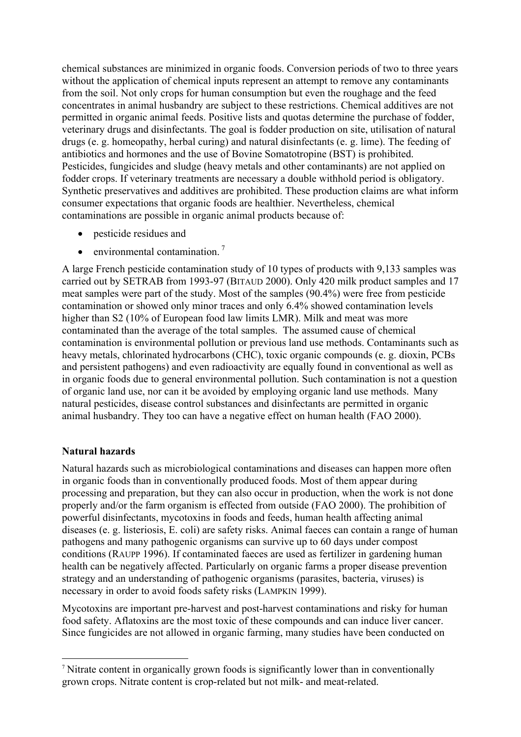chemical substances are minimized in organic foods. Conversion periods of two to three years without the application of chemical inputs represent an attempt to remove any contaminants from the soil. Not only crops for human consumption but even the roughage and the feed concentrates in animal husbandry are subject to these restrictions. Chemical additives are not permitted in organic animal feeds. Positive lists and quotas determine the purchase of fodder, veterinary drugs and disinfectants. The goal is fodder production on site, utilisation of natural drugs (e. g. homeopathy, herbal curing) and natural disinfectants (e. g. lime). The feeding of antibiotics and hormones and the use of Bovine Somatotropine (BST) is prohibited. Pesticides, fungicides and sludge (heavy metals and other contaminants) are not applied on fodder crops. If veterinary treatments are necessary a double withhold period is obligatory. Synthetic preservatives and additives are prohibited. These production claims are what inform consumer expectations that organic foods are healthier. Nevertheless, chemical contaminations are possible in organic animal products because of:

- pesticide residues and
- $\bullet$  environmental contamination.<sup>[7](#page-4-0)</sup>

A large French pesticide contamination study of 10 types of products with 9,133 samples was carried out by SETRAB from 1993-97 (BITAUD 2000). Only 420 milk product samples and 17 meat samples were part of the study. Most of the samples (90.4%) were free from pesticide contamination or showed only minor traces and only 6.4% showed contamination levels higher than S2 (10% of European food law limits LMR). Milk and meat was more contaminated than the average of the total samples. The assumed cause of chemical contamination is environmental pollution or previous land use methods. Contaminants such as heavy metals, chlorinated hydrocarbons (CHC), toxic organic compounds (e. g. dioxin, PCBs and persistent pathogens) and even radioactivity are equally found in conventional as well as in organic foods due to general environmental pollution. Such contamination is not a question of organic land use, nor can it be avoided by employing organic land use methods. Many natural pesticides, disease control substances and disinfectants are permitted in organic animal husbandry. They too can have a negative effect on human health (FAO 2000).

## **Natural hazards**

-

Natural hazards such as microbiological contaminations and diseases can happen more often in organic foods than in conventionally produced foods. Most of them appear during processing and preparation, but they can also occur in production, when the work is not done properly and/or the farm organism is effected from outside (FAO 2000). The prohibition of powerful disinfectants, mycotoxins in foods and feeds, human health affecting animal diseases (e. g. listeriosis, E. coli) are safety risks. Animal faeces can contain a range of human pathogens and many pathogenic organisms can survive up to 60 days under compost conditions (RAUPP 1996). If contaminated faeces are used as fertilizer in gardening human health can be negatively affected. Particularly on organic farms a proper disease prevention strategy and an understanding of pathogenic organisms (parasites, bacteria, viruses) is necessary in order to avoid foods safety risks (LAMPKIN 1999).

Mycotoxins are important pre-harvest and post-harvest contaminations and risky for human food safety. Aflatoxins are the most toxic of these compounds and can induce liver cancer. Since fungicides are not allowed in organic farming, many studies have been conducted on

<span id="page-4-0"></span><sup>7</sup> Nitrate content in organically grown foods is significantly lower than in conventionally grown crops. Nitrate content is crop-related but not milk- and meat-related.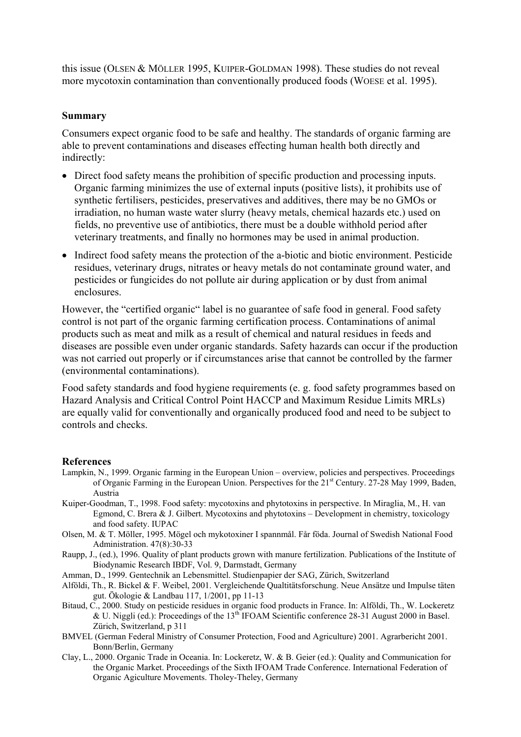this issue (OLSEN & MÖLLER 1995, KUIPER-GOLDMAN 1998). These studies do not reveal more mycotoxin contamination than conventionally produced foods (WOESE et al. 1995).

#### **Summary**

Consumers expect organic food to be safe and healthy. The standards of organic farming are able to prevent contaminations and diseases effecting human health both directly and indirectly:

- Direct food safety means the prohibition of specific production and processing inputs. Organic farming minimizes the use of external inputs (positive lists), it prohibits use of synthetic fertilisers, pesticides, preservatives and additives, there may be no GMOs or irradiation, no human waste water slurry (heavy metals, chemical hazards etc.) used on fields, no preventive use of antibiotics, there must be a double withhold period after veterinary treatments, and finally no hormones may be used in animal production.
- Indirect food safety means the protection of the a-biotic and biotic environment. Pesticide residues, veterinary drugs, nitrates or heavy metals do not contaminate ground water, and pesticides or fungicides do not pollute air during application or by dust from animal enclosures.

However, the "certified organic" label is no guarantee of safe food in general. Food safety control is not part of the organic farming certification process. Contaminations of animal products such as meat and milk as a result of chemical and natural residues in feeds and diseases are possible even under organic standards. Safety hazards can occur if the production was not carried out properly or if circumstances arise that cannot be controlled by the farmer (environmental contaminations).

Food safety standards and food hygiene requirements (e. g. food safety programmes based on Hazard Analysis and Critical Control Point HACCP and Maximum Residue Limits MRLs) are equally valid for conventionally and organically produced food and need to be subject to controls and checks.

#### **References**

- Lampkin, N., 1999. Organic farming in the European Union overview, policies and perspectives. Proceedings of Organic Farming in the European Union. Perspectives for the 21<sup>st</sup> Century. 27-28 May 1999, Baden, Austria
- Kuiper-Goodman, T., 1998. Food safety: mycotoxins and phytotoxins in perspective. In Miraglia, M., H. van Egmond, C. Brera & J. Gilbert. Mycotoxins and phytotoxins – Development in chemistry, toxicology and food safety. IUPAC
- Olsen, M. & T. Möller, 1995. Mögel och mykotoxiner I spannmål. Får föda. Journal of Swedish National Food Administration. 47(8):30-33
- Raupp, J., (ed.), 1996. Quality of plant products grown with manure fertilization. Publications of the Institute of Biodynamic Research IBDF, Vol. 9, Darmstadt, Germany
- Amman, D., 1999. Gentechnik an Lebensmittel. Studienpapier der SAG, Zürich, Switzerland
- Alföldi, Th., R. Bickel & F. Weibel, 2001. Vergleichende Qualtitätsforschung. Neue Ansätze und Impulse täten gut. Ökologie & Landbau 117, 1/2001, pp 11-13
- Bitaud, C., 2000. Study on pesticide residues in organic food products in France. In: Alföldi, Th., W. Lockeretz & U. Niggli (ed.): Proceedings of the 13<sup>th</sup> IFOAM Scientific conference 28-31 August 2000 in Basel. Zürich, Switzerland, p 311
- BMVEL (German Federal Ministry of Consumer Protection, Food and Agriculture) 2001. Agrarbericht 2001. Bonn/Berlin, Germany
- Clay, L., 2000. Organic Trade in Oceania. In: Lockeretz, W. & B. Geier (ed.): Quality and Communication for the Organic Market. Proceedings of the Sixth IFOAM Trade Conference. International Federation of Organic Agiculture Movements. Tholey-Theley, Germany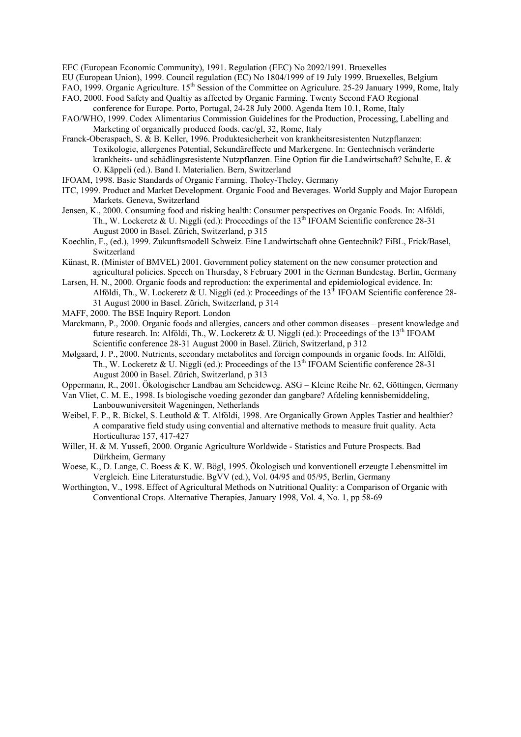EEC (European Economic Community), 1991. Regulation (EEC) No 2092/1991. Bruexelles

EU (European Union), 1999. Council regulation (EC) No 1804/1999 of 19 July 1999. Bruexelles, Belgium

- FAO, 1999. Organic Agriculture. 15<sup>th</sup> Session of the Committee on Agriculure. 25-29 January 1999, Rome, Italy
- FAO, 2000. Food Safety and Qualtiy as affected by Organic Farming. Twenty Second FAO Regional conference for Europe. Porto, Portugal, 24-28 July 2000. Agenda Item 10.1, Rome, Italy
- FAO/WHO, 1999. Codex Alimentarius Commission Guidelines for the Production, Processing, Labelling and Marketing of organically produced foods. cac/gl, 32, Rome, Italy
- Franck-Oberaspach, S. & B. Keller, 1996. Produktesicherheit von krankheitsresistenten Nutzpflanzen: Toxikologie, allergenes Potential, Sekundäreffecte und Markergene. In: Gentechnisch veränderte krankheits- und schädlingsresistente Nutzpflanzen. Eine Option für die Landwirtschaft? Schulte, E. & O. Käppeli (ed.). Band I. Materialien. Bern, Switzerland
- IFOAM, 1998. Basic Standards of Organic Farming. Tholey-Theley, Germany
- ITC, 1999. Product and Market Development. Organic Food and Beverages. World Supply and Major European Markets. Geneva, Switzerland
- Jensen, K., 2000. Consuming food and risking health: Consumer perspectives on Organic Foods. In: Alföldi, Th., W. Lockeretz  $\&$  U. Niggli (ed.): Proceedings of the 13<sup>th</sup> IFOAM Scientific conference 28-31 August 2000 in Basel. Zürich, Switzerland, p 315
- Koechlin, F., (ed.), 1999. Zukunftsmodell Schweiz. Eine Landwirtschaft ohne Gentechnik? FiBL, Frick/Basel, Switzerland
- Künast, R. (Minister of BMVEL) 2001. Government policy statement on the new consumer protection and agricultural policies. Speech on Thursday, 8 February 2001 in the German Bundestag. Berlin, Germany
- Larsen, H. N., 2000. Organic foods and reproduction: the experimental and epidemiological evidence. In: Alföldi, Th., W. Lockeretz & U. Niggli (ed.): Proceedings of the  $13<sup>th</sup>$  IFOAM Scientific conference 28-31 August 2000 in Basel. Zürich, Switzerland, p 314
- MAFF, 2000. The BSE Inquiry Report. London
- Marckmann, P., 2000. Organic foods and allergies, cancers and other common diseases present knowledge and future research. In: Alföldi, Th., W. Lockeretz & U. Niggli (ed.): Proceedings of the  $13<sup>th</sup>$  IFOAM Scientific conference 28-31 August 2000 in Basel. Zürich, Switzerland, p 312
- Mølgaard, J. P., 2000. Nutrients, secondary metabolites and foreign compounds in organic foods. In: Alföldi, Th., W. Lockeretz & U. Niggli (ed.): Proceedings of the  $13<sup>th</sup>$  IFOAM Scientific conference 28-31 August 2000 in Basel. Zürich, Switzerland, p 313
- Oppermann, R., 2001. Ökologischer Landbau am Scheideweg. ASG Kleine Reihe Nr. 62, Göttingen, Germany
- Van Vliet, C. M. E., 1998. Is biologische voeding gezonder dan gangbare? Afdeling kennisbemiddeling, Lanbouwuniversiteit Wageningen, Netherlands
- Weibel, F. P., R. Bickel, S. Leuthold & T. Alföldi, 1998. Are Organically Grown Apples Tastier and healthier? A comparative field study using convential and alternative methods to measure fruit quality. Acta Horticulturae 157, 417-427
- Willer, H. & M. Yussefi, 2000. Organic Agriculture Worldwide Statistics and Future Prospects. Bad Dürkheim, Germany
- Woese, K., D. Lange, C. Boess & K. W. Bögl, 1995. Ökologisch und konventionell erzeugte Lebensmittel im Vergleich. Eine Literaturstudie. BgVV (ed.), Vol. 04/95 and 05/95, Berlin, Germany
- Worthington, V., 1998. Effect of Agricultural Methods on Nutritional Quality: a Comparison of Organic with Conventional Crops. Alternative Therapies, January 1998, Vol. 4, No. 1, pp 58-69